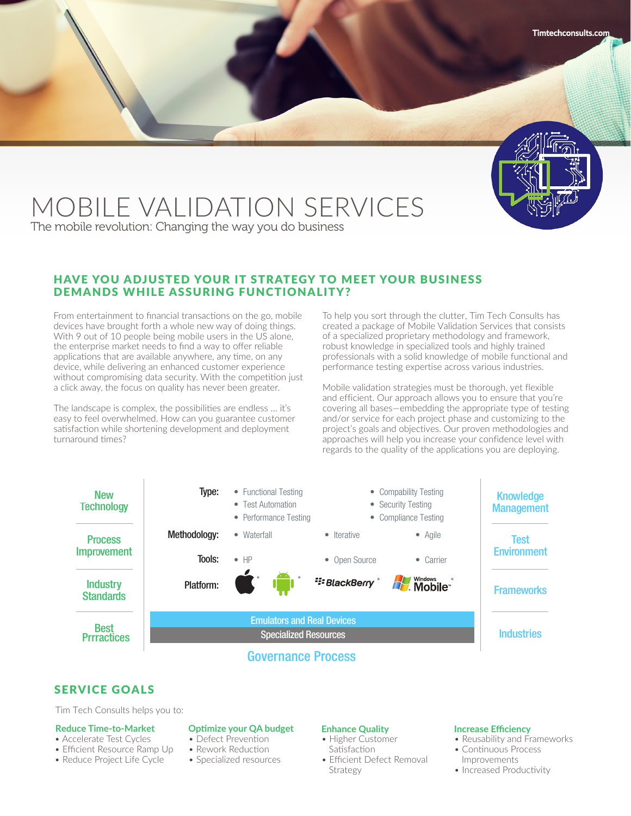

# MOBILE VALIDATION SERVICES

The mobile revolution: Changing the way you do business

# HAVE YOU ADJUSTED YOUR IT STRATEGY TO MEET YOUR BUSINESS DEMANDS WHILE ASSURING FUNCTIONALITY?

From entertainment to financial transactions on the go, mobile devices have brought forth a whole new way of doing things. With 9 out of 10 people being mobile users in the US alone, the enterprise market needs to find a way to offer reliable applications that are available anywhere, any time, on any device, while delivering an enhanced customer experience without compromising data security. With the competition just a click away, the focus on quality has never been greater.

The landscape is complex, the possibilities are endless … it's easy to feel overwhelmed. How can you guarantee customer satisfaction while shortening development and deployment turnaround times?

To help you sort through the clutter, Tim Tech Consults has created a package of Mobile Validation Services that consists of a specialized proprietary methodology and framework, robust knowledge in specialized tools and highly trained professionals with a solid knowledge of mobile functional and performance testing expertise across various industries.

Mobile validation strategies must be thorough, yet flexible and efficient. Our approach allows you to ensure that you're covering all bases—embedding the appropriate type of testing and/or service for each project phase and customizing to the project's goals and objectives. Our proven methodologies and approaches will help you increase your confidence level with regards to the quality of the applications you are deploying.



# SERVICE GOALS

Tim Tech Consults helps you to:

#### **Reduce Time-to-Market**

- Accelerate Test Cycles
- Efficient Resource Ramp Up
- Reduce Project Life Cycle

#### **Optimize your QA budget**

- Defect Prevention
- Rework Reduction
- Specialized resources

### **Enhance Quality**

- Higher Customer
- **Satisfaction**
- Efficient Defect Removal Strategy

#### **Increase Efficiency**

- Reusability and Frameworks
- Continuous Process Improvements
- Increased Productivity